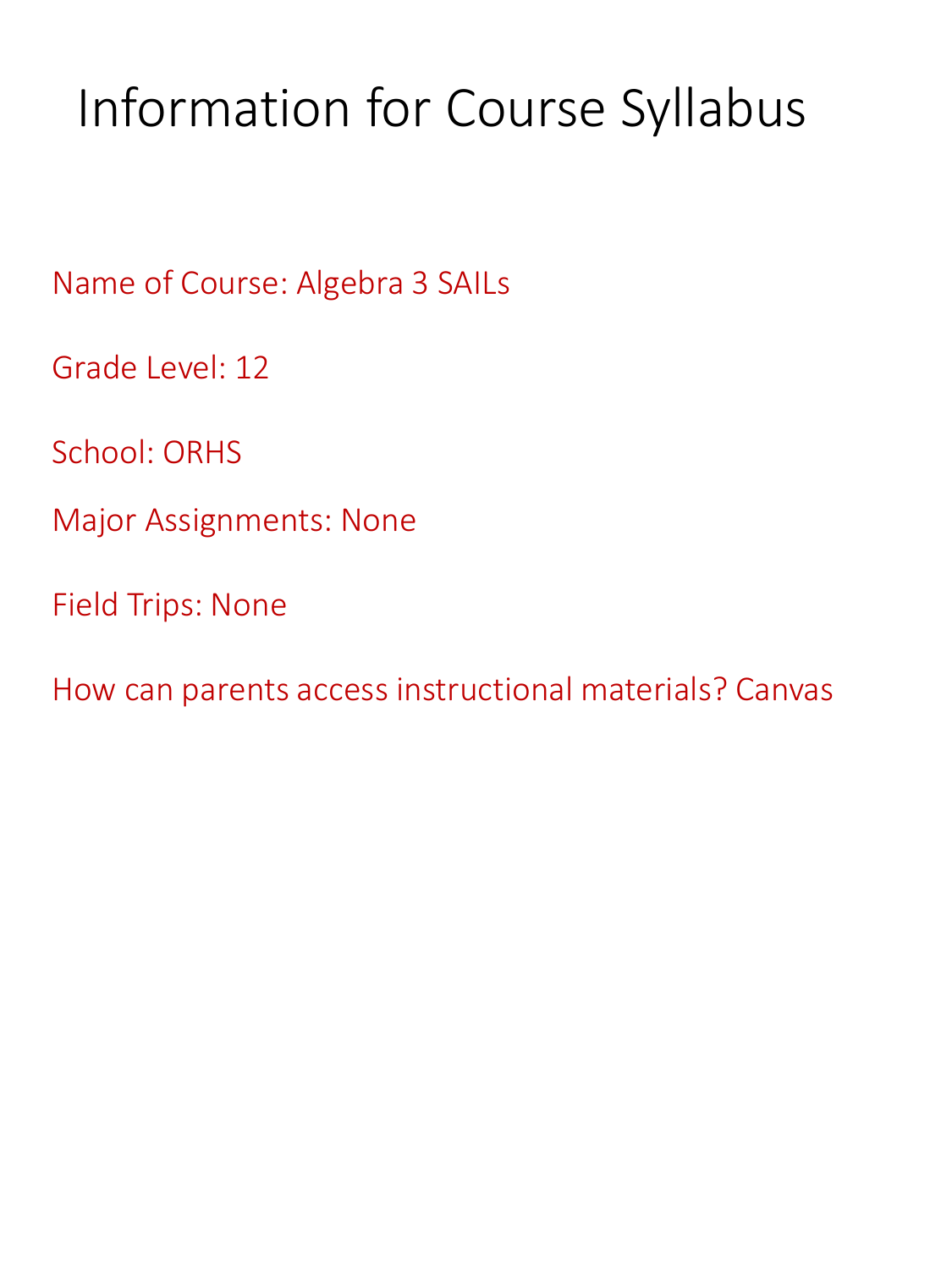# Information for Course Syllabus

Name of Course: Algebra 3 SAILs

Grade Level: 12

School: ORHS

Major Assignments: None

Field Trips: None

How can parents access instructional materials? Canvas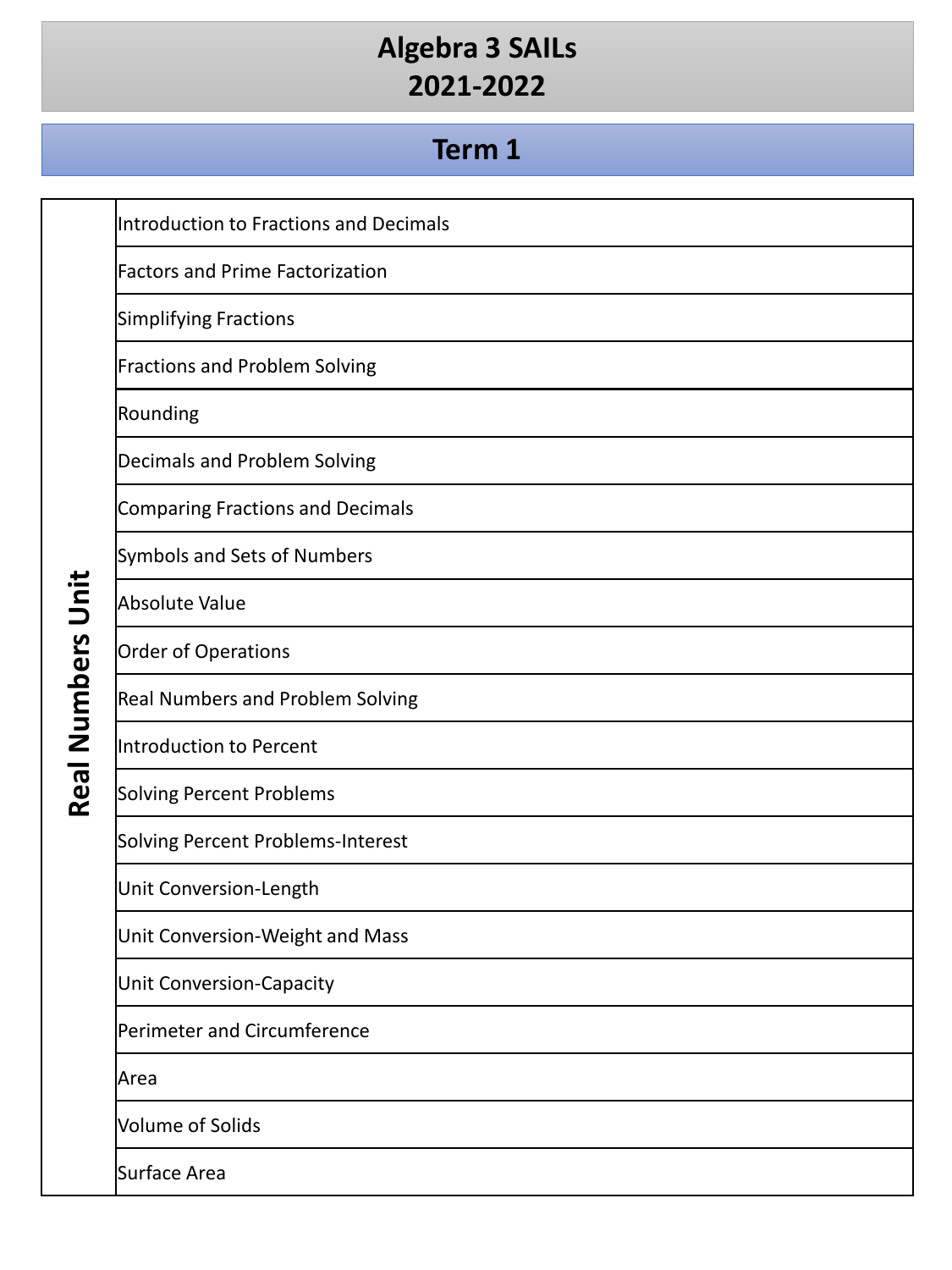## **Term 1**

Introduction to Fractions and Decimals

Factors and Prime Factorization

Simplifying Fractions

Fractions and Problem Solving

Rounding

Decimals and Problem Solving

Comparing Fractions and Decimals

Symbols and Sets of Numbers

Absolute Value

Order of Operations

Real Numbers and Problem Solving

Introduction to Percent

Solving Percent Problems

Solving Percent Problems-Interest

Unit Conversion-Length

Unit Conversion-Weight and Mass

Unit Conversion-Capacity

Perimeter and Circumference

Area

Volume of Solids

Surface Area

Real Numbers Unit **Real Numbers Unit**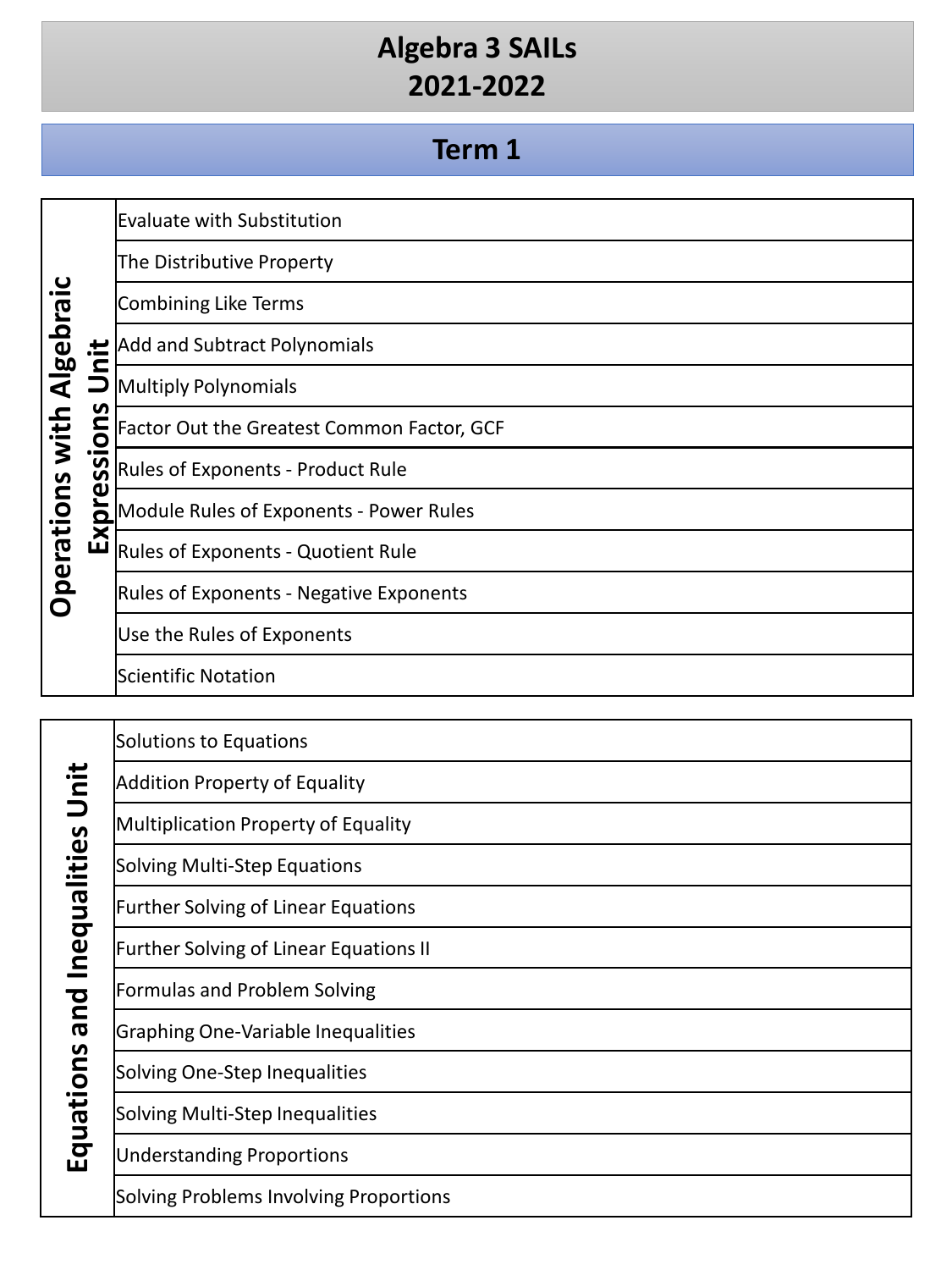#### **Term 1**

Evaluate with Substitution

The Distributive Property

Combining Like Terms

Unit Add and Subtract Polynomials

Multiply Polynomials

Factor Out the Greatest Common Factor, GCF

**Expressions Unit** Expressions Rules of Exponents - Product Rule

Module Rules of Exponents - Power Rules

Rules of Exponents - Quotient Rule

Rules of Exponents - Negative Exponents

Use the Rules of Exponents

Scientific Notation

Equations and Inequalities Unit **Equations and Inequalities Unit**

**Operations with Algebraic** 

**Operations with Algebraic** 

Solutions to Equations Addition Property of Equality Multiplication Property of Equality Solving Multi-Step Equations Further Solving of Linear Equations Further Solving of Linear Equations II Formulas and Problem Solving Graphing One-Variable Inequalities Solving One-Step Inequalities Solving Multi-Step Inequalities Understanding Proportions

Solving Problems Involving Proportions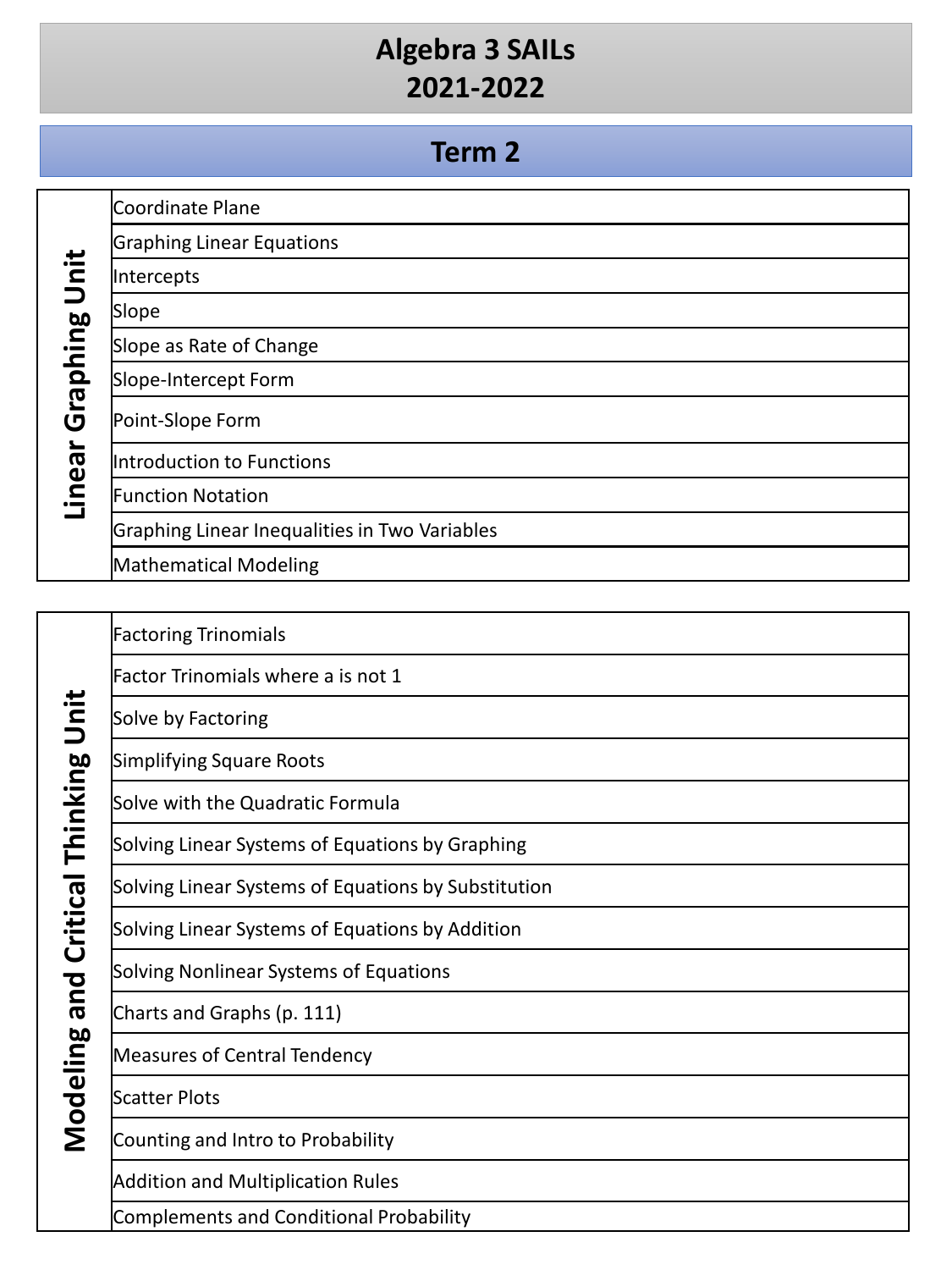#### **Term 2**

| $\ddot{\vec{a}}$<br><b>Suideri</b><br>$\overline{\mathbf{G}}$<br>Linear | Coordinate Plane                              |
|-------------------------------------------------------------------------|-----------------------------------------------|
|                                                                         | <b>Graphing Linear Equations</b>              |
|                                                                         | <i><u><b>Intercepts</b></u></i>               |
|                                                                         | Slope                                         |
|                                                                         | Slope as Rate of Change                       |
|                                                                         | Slope-Intercept Form                          |
|                                                                         | Point-Slope Form                              |
|                                                                         | Introduction to Functions                     |
|                                                                         | <b>Function Notation</b>                      |
|                                                                         | Graphing Linear Inequalities in Two Variables |
|                                                                         | Mathematical Modeling                         |

Modeling and Critical Thinking Unit **Modeling and Critical Thinking Unit** Factoring Trinomials

Factor Trinomials where a is not 1

Solve by Factoring

Simplifying Square Roots

Solve with the Quadratic Formula

Solving Linear Systems of Equations by Graphing

Solving Linear Systems of Equations by Substitution

Solving Linear Systems of Equations by Addition

Solving Nonlinear Systems of Equations

Charts and Graphs (p. 111)

Measures of Central Tendency

Scatter Plots

Counting and Intro to Probability

Addition and Multiplication Rules

Complements and Conditional Probability